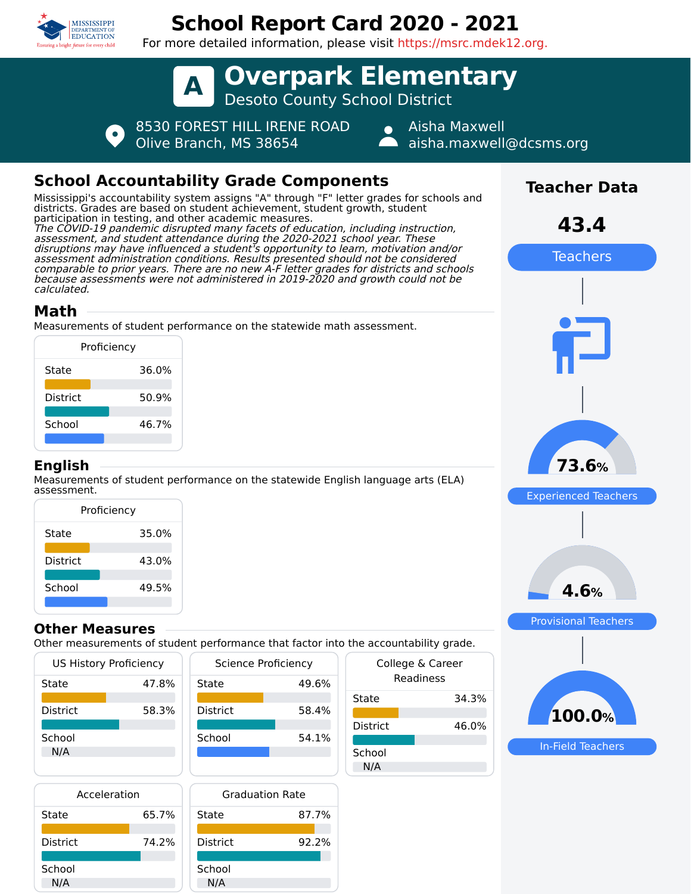

# **School Report Card 2020 - 2021**

For more detailed information, please visit https://msrc.mdek12.org.



Olive Branch, MS 38654

Aisha Maxwell aisha.maxwell@dcsms.org

## **School Accountability Grade Components**

Mississippi's accountability system assigns "A" through "F" letter grades for schools and districts. Grades are based on student achievement, student growth, student participation in testing, and other academic measures. The COVID-19 pandemic disrupted many facets of education, including instruction, assessment, and student attendance during the 2020-2021 school year. These disruptions may have influenced a student's opportunity to learn, motivation and/or assessment administration conditions. Results presented should not be considered comparable to prior years. There are no new A-F letter grades for districts and schools because assessments were not administered in 2019-2020 and growth could not be calculated.

### **Math**

Measurements of student performance on the statewide math assessment.

| Proficiency     |       |  |
|-----------------|-------|--|
| State           | 36.0% |  |
| <b>District</b> | 50.9% |  |
| School          | 46.7% |  |
|                 |       |  |

#### **English**

N/A

Measurements of student performance on the statewide English language arts (ELA) assessment.

| Proficiency |       |  |  |
|-------------|-------|--|--|
| State       | 35.0% |  |  |
| District    | 43.0% |  |  |
| School      | 49.5% |  |  |
|             |       |  |  |

#### **Other Measures**

Other measurements of student performance that factor into the accountability grade.

49.6%

58.4%

54.1%

| <b>US History Proficiency</b> |       |                 | Science Proficiency |
|-------------------------------|-------|-----------------|---------------------|
| State                         | 47.8% | State           | 49.                 |
| <b>District</b>               | 58.3% | <b>District</b> | 58.                 |
| School<br>N/A                 |       | School          | 54.                 |





| the accountability grade. |                               |
|---------------------------|-------------------------------|
|                           | College & Career<br>Readiness |
| State                     | 34.3%                         |
| <b>District</b>           | 46.0%                         |
| School<br>N/A             |                               |
|                           |                               |